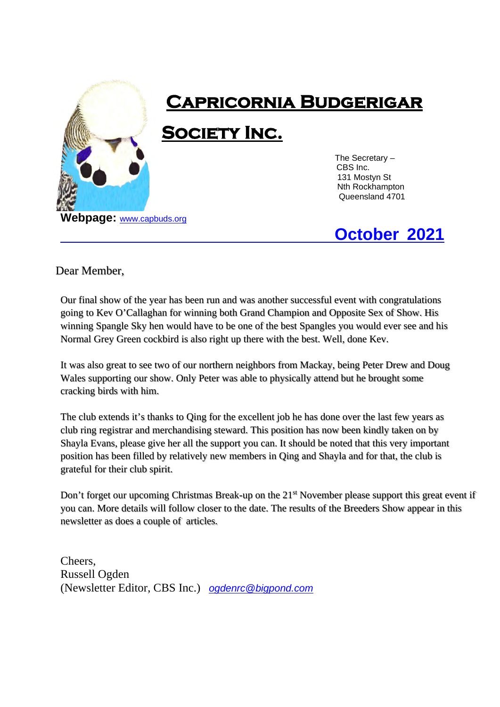

# **Capricornia Budgerigar**

**Society Inc.**

 The Secretary – CBS Inc. 131 Mostyn St Nth Rockhampton Queensland 4701

## **October 2021**

#### Dear Member,

Our final show of the year has been run and was another successful event with congratulations going to Kev O'Callaghan for winning both Grand Champion and Opposite Sex of Show. His winning Spangle Sky hen would have to be one of the best Spangles you would ever see and his Normal Grey Green cockbird is also right up there with the best. Well, done Kev.

It was also great to see two of our northern neighbors from Mackay, being Peter Drew and Doug Wales supporting our show. Only Peter was able to physically attend but he brought some cracking birds with him.

The club extends it's thanks to Qing for the excellent job he has done over the last few years as club ring registrar and merchandising steward. This position has now been kindly taken on by Shayla Evans, please give her all the support you can. It should be noted that this very important position has been filled by relatively new members in Qing and Shayla and for that, the club is grateful for their club spirit.

Don't forget our upcoming Christmas Break-up on the 21<sup>st</sup> November please support this great event if you can. More details will follow closer to the date. The results of the Breeders Show appear in this newsletter as does a couple of articles.

Cheers, Russell Ogden (Newsletter Editor, CBS Inc.) *[ogdenrc@bigpond.com](mailto:ogdenrc@bigpond.com)*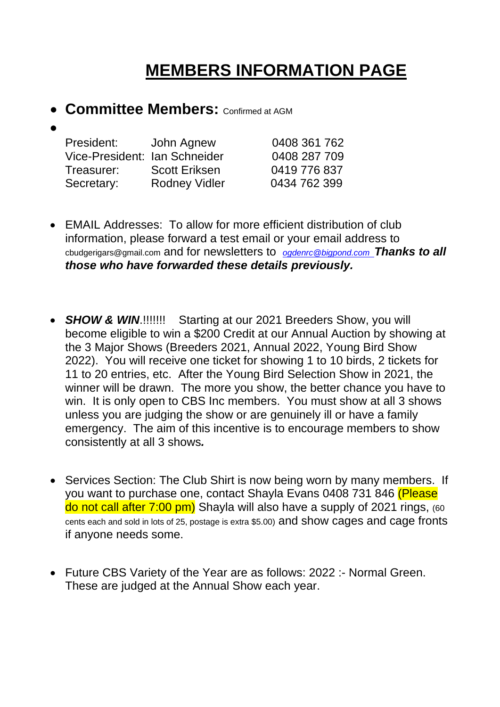## **MEMBERS INFORMATION PAGE**

**• Committee Members: Confirmed at AGM** 

#### •

| President:                    | John Agnew           | 0408 361 762 |
|-------------------------------|----------------------|--------------|
| Vice-President: Ian Schneider |                      | 0408 287 709 |
| Treasurer:                    | <b>Scott Eriksen</b> | 0419 776 837 |
| Secretary:                    | <b>Rodney Vidler</b> | 0434 762 399 |

- EMAIL Addresses: To allow for more efficient distribution of club information, please forward a test email or your email address to cbudgerigars@gmail.com and for newsletters to *[ogdenrc@bigpond.com](mailto:ogdenrc@bigpond.com) Thanks to all those who have forwarded these details previously.*
- **SHOW & WIN.!!!!!!!!** Starting at our 2021 Breeders Show, you will become eligible to win a \$200 Credit at our Annual Auction by showing at the 3 Major Shows (Breeders 2021, Annual 2022, Young Bird Show 2022). You will receive one ticket for showing 1 to 10 birds, 2 tickets for 11 to 20 entries, etc. After the Young Bird Selection Show in 2021, the winner will be drawn. The more you show, the better chance you have to win. It is only open to CBS Inc members. You must show at all 3 shows unless you are judging the show or are genuinely ill or have a family emergency. The aim of this incentive is to encourage members to show consistently at all 3 shows*.*
- Services Section: The Club Shirt is now being worn by many members. If you want to purchase one, contact Shayla Evans 0408 731 846 (Please do not call after 7:00 pm) Shayla will also have a supply of 2021 rings, (60 cents each and sold in lots of 25, postage is extra \$5.00) and show cages and cage fronts if anyone needs some.
- Future CBS Variety of the Year are as follows: 2022 :- Normal Green. These are judged at the Annual Show each year.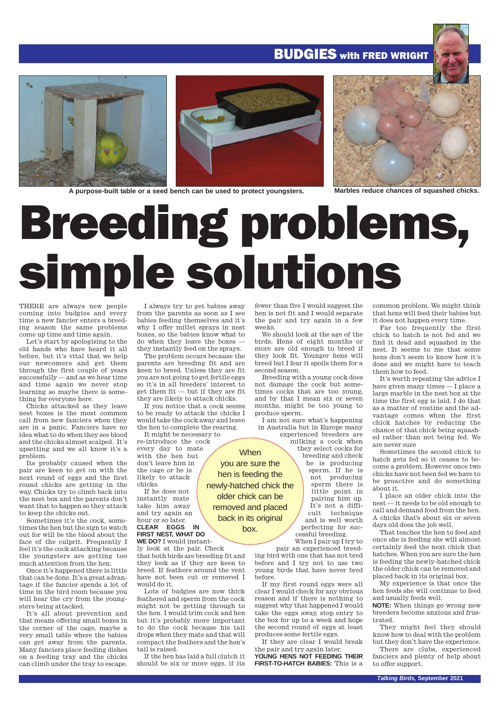### **BUDGIES** with FRED WRIGHT



**A purpose-built table or a seed bench can be used to protect youngsters. Marbles reduce chances of squashed chicks.**

# Breeding problems, simple solutions

**When** you are sure the hen is feeding the

older chick can be removed and placed back in its original box.

THERE are always new people coming into budgies and every time a new fancier enters a breeding season the same problems come up time and time again.

Let's start by apologising to the old hands who have heard it all before, but it's vital that we help our newcomers and get them through the first couple of years successfully — and as we hear time and time again we never stop learning so maybe there is something for everyone here.

Chicks attacked as they leave nest boxes is the most common call from new fanciers when they are in a panic. Fanciers have no idea what to do when they see blood and the chicks almost scalped. It's upsetting and we all know it's a problem.

Its probably caused when the pair are keen to get on with the next round of eggs and the first round chicks are getting in the way. Chicks try to climb back into the nest box and the parents don't want that to happen so they attack to keep the chicks out.

Sometimes it's the cock, sometimes the hen but the sign to watch out for will be the blood about the face of the culprit. Frequently I feel it's the cock attacking because the youngsters are getting too much attention from the hen.

Once it's happened there is little that can be done. It's a great advantage if the fancier spends a lot of time in the bird room because you will hear the cry from the youngsters being attacked.

It's all about prevention and that means offering small boxes in the corner of the cage, maybe a very small table where the babies can get away from the parents. Many fanciers place feeding dishes on a feeding tray and the chicks can climb under the tray to escape.

I always try to get babies away from the parents as soon as I see babies feeding themselves and it's why I offer millet sprays in nest boxes, so the babies know what to do when they leave the boxes they instantly feed on the sprays.

The problem occurs because the parents are breeding fit and are keen to breed. Unless they are fit you are not going to get fertile eggs so it's in all breeders' interest to get them fit — but if they are fit they are likely to attack chicks.

If you notice that a cock seems to be ready to attack the chicks I would take the cock away and leave the hen to complete the rearing.

It might be necessary to re-introduce the cock every day to mate with the hen but don't leave him in the cage or he is likely to attack

chicks. If he does not instantly mate take him away

and try again an hour or so later. **CLEAR EGGS IN FIRST NEST, WHAT DO**

**WE DO?** I would instantly look at the pair. Check

that both birds are breeding fit and they look as if they are keen to breed. If feathers around the vent have not been cut or removed I would do it.

Lots of budgies are now thick feathered and sperm from the cock might not be getting through to the hen. I would trim cock and hen but it's probably more important to do the cock because his tail drops when they mate and that will compact the feathers and the hen's tail is raised.

If the hen has laid a full clutch it should be six or more eggs, if its

fewer than five I would suggest the hen is not fit and I would separate the pair and try again in a few weeks.

We should look at the age of the birds. Hens of eight months or more are old enough to breed if they look fit. Younger hens will breed but I fear it spoils them for a second season.

Breeding with a young cock does not damage the cock but sometimes cocks that are too young, and by that I mean six or seven months, might be too young to produce sperm.

I am not sure what's happening in Australia but in Europe many

experienced breeders are milking a cock when they select cocks for breeding and check he is producing sperm. If he is not producing sperm there is little point in pairing him up. newly-hatched chick the

It's not a difficult technique and is well worth perfecting for successful breeding.

When I pair up I try to pair an experienced breeding bird with one that has not bred

before and I try not to use two young birds that have never bred before.

If my first round eggs were all clear I would check for any obvious reason and if there is nothing to suggest why that happened I would take the eggs away, stop entry to the box for up to a week and hope the second round of eggs at least produces some fertile eggs.

If they are clear I would break the pair and try again later. **YOUNG HENS NOT FEEDING THEIR FIRST-TO-HATCH BABIES:** This is a common problem. We might think that hens will feed their babies but it does not happen every time.

Far too frequently the first chick to hatch is not fed and we find it dead and squashed in the nest. It seems to me that some hens don't seem to know how it's done and we might have to teach them how to feed.

It's worth repeating the advice I have given many times — I place a large marble in the nest box at the time the first egg is laid. I do that as a matter of routine and the advantage comes when the first chick hatches by reducing the chance of that chick being squashed rather than not being fed. We are never sure

Sometimes the second chick to hatch gets fed so it ceases to become a problem. However once two chicks have not been fed we have to be proactive and do something about it.

I place an older chick into the nest — it needs to be old enough to call and demand food from the hen. A chicks that's about six or seven days old does the job well.

That teaches the hen to feed and once she is feeding she will almost certainly feed the next chick that hatches. When you are sure the hen is feeding the newly-hatched chick the older chick can be removed and placed back in its original box.

My experience is that once the hen feeds she will continue to feed and usually feeds well.

**NOTE:** When things go wrong new breeders become anxious and frustrated.

They might feel they should know how to deal with the problem but they don't have the experience.

There are clubs, experienced fanciers and plenty of help about to offer support.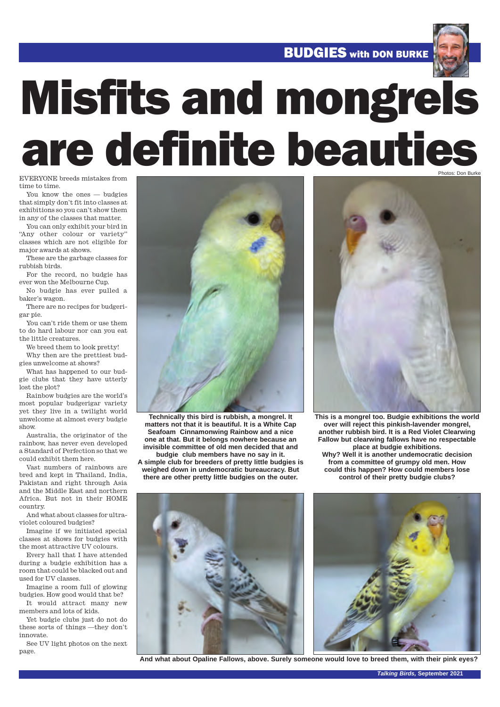**BUDGIES** with DON BURKE



# Misfits and mongrels are definite beauties

EVERYONE breeds mistakes from time to time.

You know the ones — budgies that simply don't fit into classes at exhibitions so you can't show them in any of the classes that matter.

You can only exhibit your bird in "Any other colour or variety" classes which are not eligible for major awards at shows.

These are the garbage classes for rubbish birds.

For the record, no budgie has ever won the Melbourne Cup.

No budgie has ever pulled a baker's wagon.

There are no recipes for budgerigar pie.

You can't ride them or use them to do hard labour nor can you eat the little creatures.

We breed them to look pretty! Why then are the prettiest bud-

gies unwelcome at shows?

What has happened to our budgie clubs that they have utterly lost the plot?

Rainbow budgies are the world's most popular budgerigar variety yet they live in a twilight world unwelcome at almost every budgie show.

Australia, the originator of the rainbow, has never even developed a Standard of Perfection so that we could exhibit them here.

Vast numbers of rainbows are bred and kept in Thailand, India, Pakistan and right through Asia and the Middle East and northern Africa. But not in their HOME country.

And what about classes for ultraviolet coloured budgies?

Imagine if we initiated special classes at shows for budgies with the most attractive UV colours.

Every hall that I have attended during a budgie exhibition has a room that could be blacked out and used for UV classes.

Imagine a room full of glowing budgies. How good would that be? It would attract many new

members and lots of kids. Yet budgie clubs just do not do

these sorts of things —they don't innovate.

See UV light photos on the next page.



**Technically this bird is rubbish, a mongrel. It matters not that it is beautiful. It is a White Cap Seafoam Cinnamonwing Rainbow and a nice one at that. But it belongs nowhere because an invisible committee of old men decided that and budgie club members have no say in it.** 

**A simple club for breeders of pretty little budgies is weighed down in undemocratic bureaucracy. But there are other pretty little budgies on the outer.**



**This is a mongrel too. Budgie exhibitions the world over will reject this pinkish-lavender mongrel, another rubbish bird. It is a Red Violet Clearwing Fallow but clearwing fallows have no respectable place at budgie exhibitions. Why? Well it is another undemocratic decision from a committee of grumpy old men. How could this happen? How could members lose control of their pretty budgie clubs?**



**And what about Opaline Fallows, above. Surely someone would love to breed them, with their pink eyes?**

*Talking Birds,* **September 2021**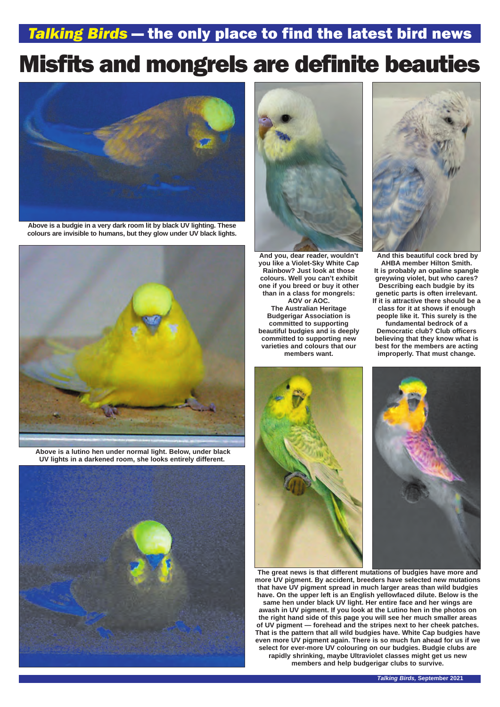### *Talking Birds* — the only place to find the latest bird news

# Misfits and mongrels are definite beauties



**Above is a budgie in a very dark room lit by black UV lighting. These colours are invisible to humans, but they glow under UV black lights.**



**Above is a lutino hen under normal light. Below, under black UV lights in a darkened room, she looks entirely different.** 





**And you, dear reader, wouldn't you like a Violet-Sky White Cap Rainbow? Just look at those colours. Well you can't exhibit one if you breed or buy it other than in a class for mongrels: AOV or AOC. The Australian Heritage Budgerigar Association is committed to supporting beautiful budgies and is deeply committed to supporting new varieties and colours that our members want.**





**And this beautiful cock bred by AHBA member Hilton Smith. It is probably an opaline spangle greywing violet, but who cares? Describing each budgie by its genetic parts is often irrelevant. If it is attractive there should be a class for it at shows if enough people like it. This surely is the fundamental bedrock of a Democratic club? Club officers believing that they know what is best for the members are acting improperly. That must change.**



**The great news is that different mutations of budgies have more and more UV pigment. By accident, breeders have selected new mutations that have UV pigment spread in much larger areas than wild budgies have. On the upper left is an English yellowfaced dilute. Below is the same hen under black UV light. Her entire face and her wings are awash in UV pigment. If you look at the Lutino hen in the photos on the right hand side of this page you will see her much smaller areas of UV pigment — forehead and the stripes next to her cheek patches. That is the pattern that all wild budgies have. White Cap budgies have even more UV pigment again. There is so much fun ahead for us if we select for ever-more UV colouring on our budgies. Budgie clubs are rapidly shrinking, maybe Ultraviolet classes might get us new members and help budgerigar clubs to survive.**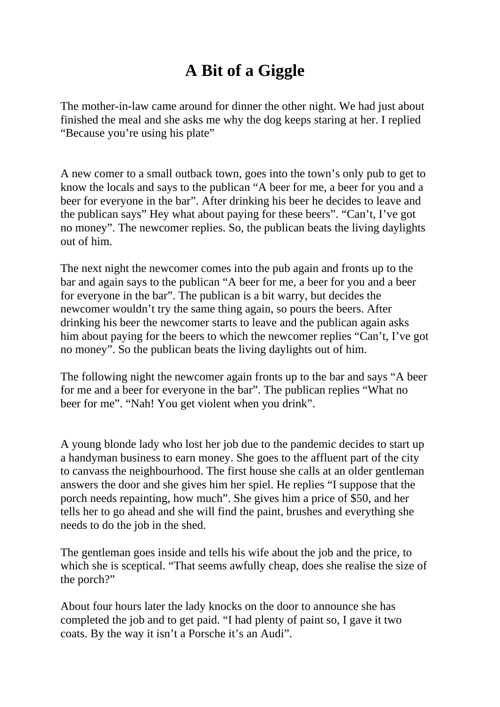## **A Bit of a Giggle**

The mother-in-law came around for dinner the other night. We had just about finished the meal and she asks me why the dog keeps staring at her. I replied "Because you're using his plate"

A new comer to a small outback town, goes into the town's only pub to get to know the locals and says to the publican "A beer for me, a beer for you and a beer for everyone in the bar". After drinking his beer he decides to leave and the publican says" Hey what about paying for these beers". "Can't, I've got no money". The newcomer replies. So, the publican beats the living daylights out of him.

The next night the newcomer comes into the pub again and fronts up to the bar and again says to the publican "A beer for me, a beer for you and a beer for everyone in the bar". The publican is a bit warry, but decides the newcomer wouldn't try the same thing again, so pours the beers. After drinking his beer the newcomer starts to leave and the publican again asks him about paying for the beers to which the newcomer replies "Can't, I've got no money". So the publican beats the living daylights out of him.

The following night the newcomer again fronts up to the bar and says "A beer for me and a beer for everyone in the bar". The publican replies "What no beer for me". "Nah! You get violent when you drink".

A young blonde lady who lost her job due to the pandemic decides to start up a handyman business to earn money. She goes to the affluent part of the city to canvass the neighbourhood. The first house she calls at an older gentleman answers the door and she gives him her spiel. He replies "I suppose that the porch needs repainting, how much". She gives him a price of \$50, and her tells her to go ahead and she will find the paint, brushes and everything she needs to do the job in the shed.

The gentleman goes inside and tells his wife about the job and the price, to which she is sceptical. "That seems awfully cheap, does she realise the size of the porch?"

About four hours later the lady knocks on the door to announce she has completed the job and to get paid. "I had plenty of paint so, I gave it two coats. By the way it isn't a Porsche it's an Audi".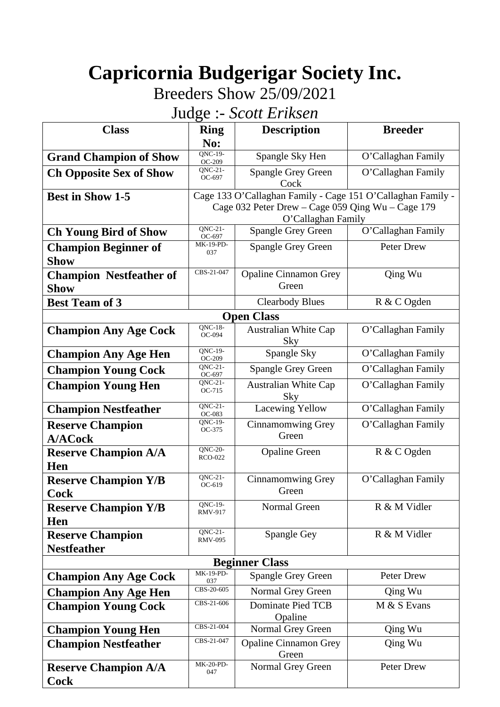# **Capricornia Budgerigar Society Inc.**

Breeders Show 25/09/2021

Judge :- *Scott Eriksen*

| $\sim$<br>$\sim$ $\sim$ $\sim$ $\sim$ $\sim$ $\sim$ $\sim$ $\sim$ |                                  |                                                                         |                    |  |
|-------------------------------------------------------------------|----------------------------------|-------------------------------------------------------------------------|--------------------|--|
| <b>Class</b>                                                      | <b>Ring</b><br>No:               | <b>Description</b>                                                      | <b>Breeder</b>     |  |
| <b>Grand Champion of Show</b>                                     | QNC-19-<br>OC-209                | Spangle Sky Hen                                                         | O'Callaghan Family |  |
| <b>Ch Opposite Sex of Show</b>                                    | $QNC-21-$<br>OC-697              | <b>Spangle Grey Green</b><br>Cock                                       | O'Callaghan Family |  |
| <b>Best in Show 1-5</b>                                           |                                  | Cage 133 O'Callaghan Family - Cage 151 O'Callaghan Family -             |                    |  |
|                                                                   |                                  | Cage 032 Peter Drew - Cage 059 Qing Wu - Cage 179<br>O'Callaghan Family |                    |  |
| <b>Ch Young Bird of Show</b>                                      | QNC-21-                          | <b>Spangle Grey Green</b>                                               | O'Callaghan Family |  |
| <b>Champion Beginner of</b>                                       | OC-697<br>MK-19-PD-              | <b>Spangle Grey Green</b>                                               | Peter Drew         |  |
| Show                                                              | 037                              |                                                                         |                    |  |
| <b>Champion Nestfeather of</b>                                    | CBS-21-047                       | <b>Opaline Cinnamon Grey</b>                                            | Qing Wu            |  |
| <b>Show</b>                                                       |                                  | Green                                                                   |                    |  |
| <b>Best Team of 3</b>                                             |                                  | <b>Clearbody Blues</b>                                                  | R & C Ogden        |  |
|                                                                   |                                  | <b>Open Class</b>                                                       |                    |  |
| <b>Champion Any Age Cock</b>                                      | <b>QNC-18-</b><br>OC-094         | <b>Australian White Cap</b><br>Sky                                      | O'Callaghan Family |  |
| <b>Champion Any Age Hen</b>                                       | <b>ONC-19-</b><br>OC-209         | Spangle Sky                                                             | O'Callaghan Family |  |
| <b>Champion Young Cock</b>                                        | $QNC-21-$<br>OC-697              | Spangle Grey Green                                                      | O'Callaghan Family |  |
| <b>Champion Young Hen</b>                                         | $QNC-21-$<br>OC-715              | <b>Australian White Cap</b><br>Sky                                      | O'Callaghan Family |  |
| <b>Champion Nestfeather</b>                                       | $QNC-21-$<br>OC-083              | <b>Lacewing Yellow</b>                                                  | O'Callaghan Family |  |
| <b>Reserve Champion</b>                                           | QNC-19-<br>OC-375                | <b>Cinnamomwing Grey</b>                                                | O'Callaghan Family |  |
| <b>A/ACock</b>                                                    |                                  | Green                                                                   |                    |  |
| <b>Reserve Champion A/A</b>                                       | <b>QNC-20-</b><br><b>RCO-022</b> | <b>Opaline Green</b>                                                    | R & C Ogden        |  |
| Hen                                                               | $QNC-21$ -                       | Cinnamomwing Grey                                                       | O'Callaghan Family |  |
| <b>Reserve Champion Y/B</b><br><b>Cock</b>                        | OC-619                           | Green                                                                   |                    |  |
| <b>Reserve Champion Y/B</b><br>Hen                                | QNC-19-<br><b>RMV-917</b>        | Normal Green                                                            | R & M Vidler       |  |
| <b>Reserve Champion</b>                                           | $QNC-21-$<br><b>RMV-095</b>      | Spangle Gey                                                             | R & M Vidler       |  |
| <b>Nestfeather</b>                                                |                                  |                                                                         |                    |  |
| <b>Beginner Class</b>                                             |                                  |                                                                         |                    |  |
| <b>Champion Any Age Cock</b>                                      | <b>MK-19-PD-</b><br>037          | <b>Spangle Grey Green</b>                                               | Peter Drew         |  |
| <b>Champion Any Age Hen</b>                                       | CBS-20-605                       | Normal Grey Green                                                       | Qing Wu            |  |
| <b>Champion Young Cock</b>                                        | CBS-21-606                       | <b>Dominate Pied TCB</b><br>Opaline                                     | M & S Evans        |  |
| <b>Champion Young Hen</b>                                         | CBS-21-004                       | Normal Grey Green                                                       | Qing Wu            |  |
| <b>Champion Nestfeather</b>                                       | CBS-21-047                       | <b>Opaline Cinnamon Grey</b><br>Green                                   | Qing Wu            |  |
| <b>Reserve Champion A/A</b>                                       | MK-20-PD-<br>047                 | Normal Grey Green                                                       | Peter Drew         |  |
| Cock                                                              |                                  |                                                                         |                    |  |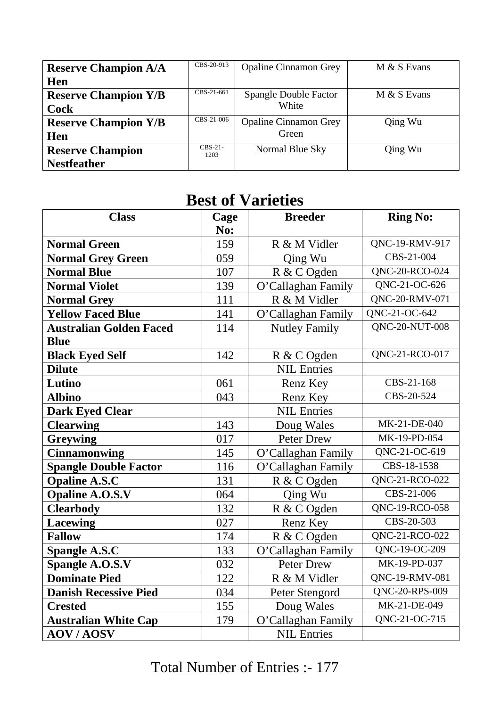| <b>Reserve Champion A/A</b> | CBS-20-913        | <b>Opaline Cinnamon Grey</b> | M & S Evans |
|-----------------------------|-------------------|------------------------------|-------------|
| Hen                         |                   |                              |             |
| <b>Reserve Champion Y/B</b> | CBS-21-661        | <b>Spangle Double Factor</b> | M & S Evans |
| <b>Cock</b>                 |                   | White                        |             |
| <b>Reserve Champion Y/B</b> | CBS-21-006        | <b>Opaline Cinnamon Grey</b> | Qing Wu     |
| Hen                         |                   | Green                        |             |
| <b>Reserve Champion</b>     | $CRS-21-$<br>1203 | Normal Blue Sky              | Qing Wu     |
| <b>Nestfeather</b>          |                   |                              |             |

## **Best of Varieties**

| <b>Class</b>                   | Cage | <b>Breeder</b>       | <b>Ring No:</b>             |
|--------------------------------|------|----------------------|-----------------------------|
|                                | No:  |                      |                             |
| <b>Normal Green</b>            | 159  | R & M Vidler         | QNC-19-RMV-917              |
| <b>Normal Grey Green</b>       | 059  | Qing Wu              | CBS-21-004                  |
| <b>Normal Blue</b>             | 107  | R & C Ogden          | QNC-20-RCO-024              |
| <b>Normal Violet</b>           | 139  | O'Callaghan Family   | QNC-21-OC-626               |
| <b>Normal Grey</b>             | 111  | R & M Vidler         | QNC-20-RMV-071              |
| <b>Yellow Faced Blue</b>       | 141  | O'Callaghan Family   | QNC-21-OC-642               |
| <b>Australian Golden Faced</b> | 114  | <b>Nutley Family</b> | <b>QNC-20-NUT-008</b>       |
| <b>Blue</b>                    |      |                      |                             |
| <b>Black Eyed Self</b>         | 142  | R & C Ogden          | QNC-21-RCO-017              |
| <b>Dilute</b>                  |      | <b>NIL Entries</b>   |                             |
| Lutino                         | 061  | Renz Key             | CBS-21-168                  |
| <b>Albino</b>                  | 043  | Renz Key             | CBS-20-524                  |
| <b>Dark Eyed Clear</b>         |      | <b>NIL Entries</b>   |                             |
| <b>Clearwing</b>               | 143  | Doug Wales           | MK-21-DE-040                |
| <b>Greywing</b>                | 017  | Peter Drew           | MK-19-PD-054                |
| <b>Cinnamonwing</b>            | 145  | O'Callaghan Family   | QNC-21-OC-619               |
| <b>Spangle Double Factor</b>   | 116  | O'Callaghan Family   | CBS-18-1538                 |
| <b>Opaline A.S.C</b>           | 131  | R & C Ogden          | QNC-21-RCO-022              |
| <b>Opaline A.O.S.V</b>         | 064  | Qing Wu              | CBS-21-006                  |
| <b>Clearbody</b>               | 132  | R & C Ogden          | QNC-19-RCO-058              |
| <b>Lacewing</b>                | 027  | Renz Key             | CBS-20-503                  |
| <b>Fallow</b>                  | 174  | R & C Ogden          | $\overline{Q}NC-21-RCO-022$ |
| <b>Spangle A.S.C</b>           | 133  | O'Callaghan Family   | QNC-19-OC-209               |
| Spangle A.O.S.V                | 032  | <b>Peter Drew</b>    | MK-19-PD-037                |
| <b>Dominate Pied</b>           | 122  | R & M Vidler         | QNC-19-RMV-081              |
| <b>Danish Recessive Pied</b>   | 034  | Peter Stengord       | QNC-20-RPS-009              |
| <b>Crested</b>                 | 155  | Doug Wales           | MK-21-DE-049                |
| <b>Australian White Cap</b>    | 179  | O'Callaghan Family   | QNC-21-OC-715               |
| <b>AOV/AOSV</b>                |      | <b>NIL Entries</b>   |                             |

Total Number of Entries :- 177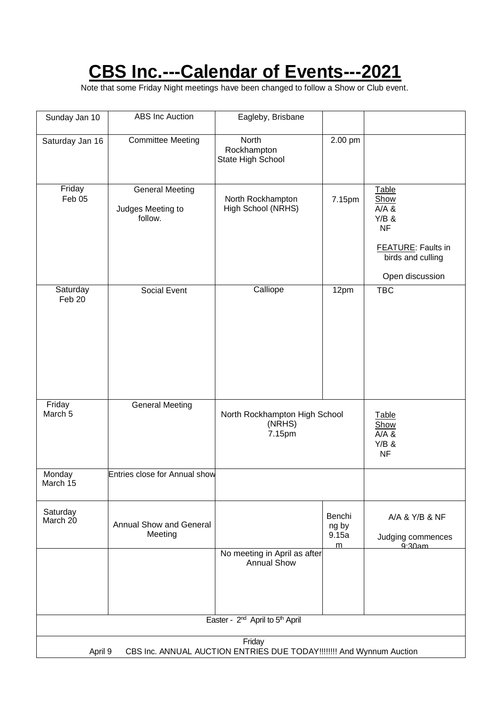## **CBS Inc.---Calendar of Events---2021**

Note that some Friday Night meetings have been changed to follow a Show or Club event.

| Sunday Jan 10                                                                             | <b>ABS</b> Inc Auction                                 | Eagleby, Brisbane                                  |                               |                                                                                                              |
|-------------------------------------------------------------------------------------------|--------------------------------------------------------|----------------------------------------------------|-------------------------------|--------------------------------------------------------------------------------------------------------------|
| Saturday Jan 16                                                                           | <b>Committee Meeting</b>                               | North<br>Rockhampton<br>State High School          | 2.00 pm                       |                                                                                                              |
| Friday<br>Feb 05                                                                          | <b>General Meeting</b><br>Judges Meeting to<br>follow. | North Rockhampton<br>High School (NRHS)            | 7.15pm                        | Table<br>Show<br>A/A &<br>$Y/B$ &<br><b>NF</b><br>FEATURE: Faults in<br>birds and culling<br>Open discussion |
| Saturday<br>Feb 20                                                                        | Social Event                                           | Calliope                                           | 12pm                          | <b>TBC</b>                                                                                                   |
| Friday<br>March <sub>5</sub>                                                              | General Meeting                                        | North Rockhampton High School<br>(NRHS)<br>7.15pm  |                               | Table<br>Show<br>A/A &<br>$Y/B$ &<br><b>NF</b>                                                               |
| Monday<br>March 15                                                                        | <b>Entries close for Annual show</b>                   |                                                    |                               |                                                                                                              |
| Saturday<br>March 20                                                                      | <b>Annual Show and General</b><br>Meeting              |                                                    | Benchi<br>ng by<br>9.15a<br>m | A/A & Y/B & NF<br>Judging commences<br>$9.30$ am                                                             |
|                                                                                           |                                                        | No meeting in April as after<br><b>Annual Show</b> |                               |                                                                                                              |
| Easter - 2 <sup>nd</sup> April to 5 <sup>th</sup> April                                   |                                                        |                                                    |                               |                                                                                                              |
| Friday<br>CBS Inc. ANNUAL AUCTION ENTRIES DUE TODAY!!!!!!!! And Wynnum Auction<br>April 9 |                                                        |                                                    |                               |                                                                                                              |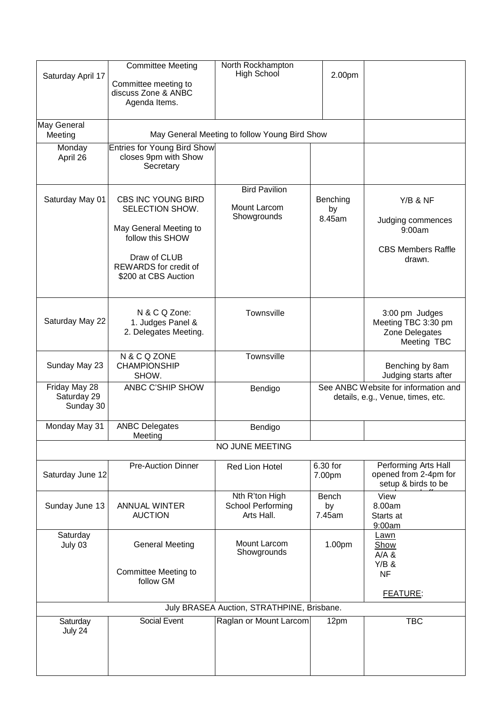| Saturday April 17                          | <b>Committee Meeting</b><br>Committee meeting to<br>discuss Zone & ANBC<br>Agenda Items.                                                                    | North Rockhampton<br>High School                    | 2.00pm                   |                                                                                |  |
|--------------------------------------------|-------------------------------------------------------------------------------------------------------------------------------------------------------------|-----------------------------------------------------|--------------------------|--------------------------------------------------------------------------------|--|
| May General<br>Meeting                     |                                                                                                                                                             | May General Meeting to follow Young Bird Show       |                          |                                                                                |  |
| Monday<br>April 26                         | Entries for Young Bird Show<br>closes 9pm with Show<br>Secretary                                                                                            |                                                     |                          |                                                                                |  |
| Saturday May 01                            | <b>CBS INC YOUNG BIRD</b><br>SELECTION SHOW.<br>May General Meeting to<br>follow this SHOW<br>Draw of CLUB<br>REWARDS for credit of<br>\$200 at CBS Auction | <b>Bird Pavilion</b><br>Mount Larcom<br>Showgrounds | Benching<br>by<br>8.45am | Y/B & NF<br>Judging commences<br>9:00am<br><b>CBS Members Raffle</b><br>drawn. |  |
| Saturday May 22                            | N & C Q Zone:<br>1. Judges Panel &<br>2. Delegates Meeting.                                                                                                 | Townsville                                          |                          | 3:00 pm Judges<br>Meeting TBC 3:30 pm<br>Zone Delegates<br>Meeting TBC         |  |
| Sunday May 23                              | N & C Q ZONE<br><b>CHAMPIONSHIP</b><br>SHOW.                                                                                                                | Townsville                                          |                          | Benching by 8am<br>Judging starts after                                        |  |
| Friday May 28<br>Saturday 29<br>Sunday 30  | ANBC C'SHIP SHOW                                                                                                                                            | Bendigo                                             |                          | See ANBC Website for information and<br>details, e.g., Venue, times, etc.      |  |
| Monday May 31                              | <b>ANBC Delegates</b><br><b>Meeting</b>                                                                                                                     | Bendigo                                             |                          |                                                                                |  |
|                                            |                                                                                                                                                             | NO JUNE MEETING                                     |                          |                                                                                |  |
| Saturday June 12                           | <b>Pre-Auction Dinner</b>                                                                                                                                   | Red Lion Hotel                                      | 6.30 for<br>7.00pm       | Performing Arts Hall<br>opened from 2-4pm for<br>setup & birds to be           |  |
| Sunday June 13                             | <b>ANNUAL WINTER</b><br><b>AUCTION</b>                                                                                                                      | Nth R'ton High<br>School Performing<br>Arts Hall.   | Bench<br>by<br>7.45am    | View<br>8.00am<br>Starts at<br>9:00am                                          |  |
| Saturday<br>July 03                        | <b>General Meeting</b><br><b>Committee Meeting to</b><br>follow GM                                                                                          | Mount Larcom<br>Showgrounds                         | 1.00pm                   | <u>Lawn</u><br>Show<br>A/A &<br>$Y/B$ &<br><b>NF</b><br><b>FEATURE:</b>        |  |
| July BRASEA Auction, STRATHPINE, Brisbane. |                                                                                                                                                             |                                                     |                          |                                                                                |  |
| Saturday<br>July 24                        | Social Event                                                                                                                                                | Raglan or Mount Larcom                              | 12pm                     | <b>TBC</b>                                                                     |  |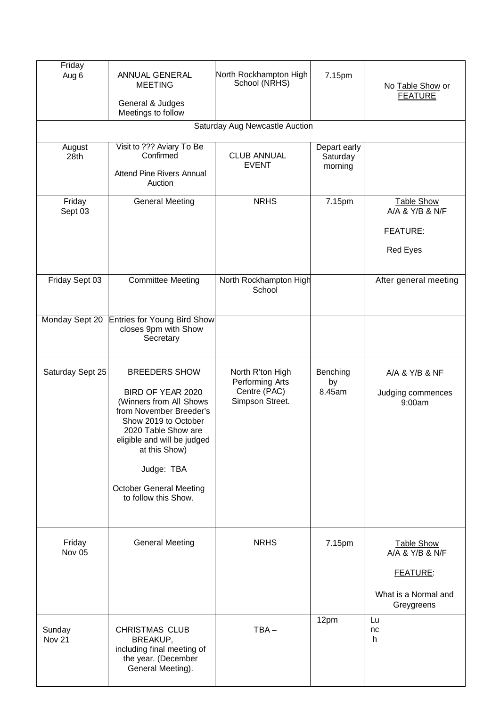| Friday<br>Aug 6             | ANNUAL GENERAL<br><b>MEETING</b><br>General & Judges<br>Meetings to follow                                                                                                                                                                                             | North Rockhampton High<br>School (NRHS)                                | 7.15pm                              | No Table Show or<br><b>FEATURE</b>                                                     |  |
|-----------------------------|------------------------------------------------------------------------------------------------------------------------------------------------------------------------------------------------------------------------------------------------------------------------|------------------------------------------------------------------------|-------------------------------------|----------------------------------------------------------------------------------------|--|
|                             | Saturday Aug Newcastle Auction                                                                                                                                                                                                                                         |                                                                        |                                     |                                                                                        |  |
| August<br>28th              | Visit to ??? Aviary To Be<br>Confirmed<br><b>Attend Pine Rivers Annual</b><br>Auction                                                                                                                                                                                  | <b>CLUB ANNUAL</b><br><b>EVENT</b>                                     | Depart early<br>Saturday<br>morning |                                                                                        |  |
| Friday<br>Sept 03           | <b>General Meeting</b>                                                                                                                                                                                                                                                 | <b>NRHS</b>                                                            | 7.15pm                              | <b>Table Show</b><br>A/A & Y/B & N/F<br><b>FEATURE:</b><br>Red Eyes                    |  |
| Friday Sept 03              | <b>Committee Meeting</b>                                                                                                                                                                                                                                               | North Rockhampton High<br>School                                       |                                     | After general meeting                                                                  |  |
| Monday Sept 20              | <b>Entries for Young Bird Show</b><br>closes 9pm with Show<br>Secretary                                                                                                                                                                                                |                                                                        |                                     |                                                                                        |  |
| Saturday Sept 25            | <b>BREEDERS SHOW</b><br>BIRD OF YEAR 2020<br>(Winners from All Shows<br>from November Breeder's<br>Show 2019 to October<br>2020 Table Show are<br>eligible and will be judged<br>at this Show)<br>Judge: TBA<br><b>October General Meeting</b><br>to follow this Show. | North R'ton High<br>Performing Arts<br>Centre (PAC)<br>Simpson Street. | Benching<br>by<br>8.45am            | A/A & Y/B & NF<br>Judging commences<br>9:00am                                          |  |
| Friday<br>Nov 05            | <b>General Meeting</b>                                                                                                                                                                                                                                                 | <b>NRHS</b>                                                            | 7.15pm                              | <b>Table Show</b><br>A/A & Y/B & N/F<br>FEATURE:<br>What is a Normal and<br>Greygreens |  |
| Sunday<br>Nov <sub>21</sub> | <b>CHRISTMAS CLUB</b><br>BREAKUP,<br>including final meeting of<br>the year. (December<br>General Meeting).                                                                                                                                                            | $TBA -$                                                                | 12pm                                | Lu<br>nc<br>h                                                                          |  |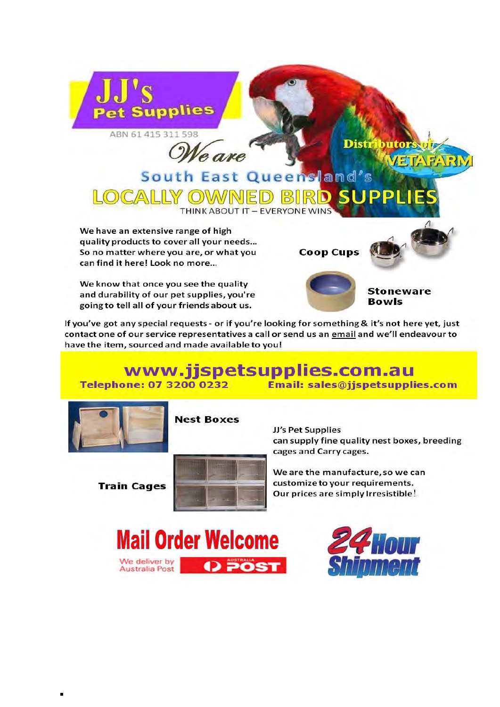

We are

South East Queensland's

**Distr** 

We have an extensive range of high quality products to cover all your needs... So no matter where you are, or what you can find it here! Look no more...

OCALLY OWN

We know that once you see the quality and durability of our pet supplies, you're going to tell all of your friends about us.



**Coop Cups** 

**Stoneware Bowls** 

butor

If you've got any special requests - or if you're looking for something & it's not here yet, just contact one of our service representatives a call or send us an email and we'll endeavour to have the item, sourced and made available to you!

**THINK ABOUT IT - EVERYONE WINS** 

#### www.jjspetsupplies.com.au Email: sales@jjspetsupplies.com **Telephone: 07 3200 0232**



**Nest Boxes** 

**Train Cages** 



JJ's Pet Supplies can supply fine quality nest boxes, breeding cages and Carry cages.

We are the manufacture, so we can customize to your requirements. Our prices are simply Irresistible!